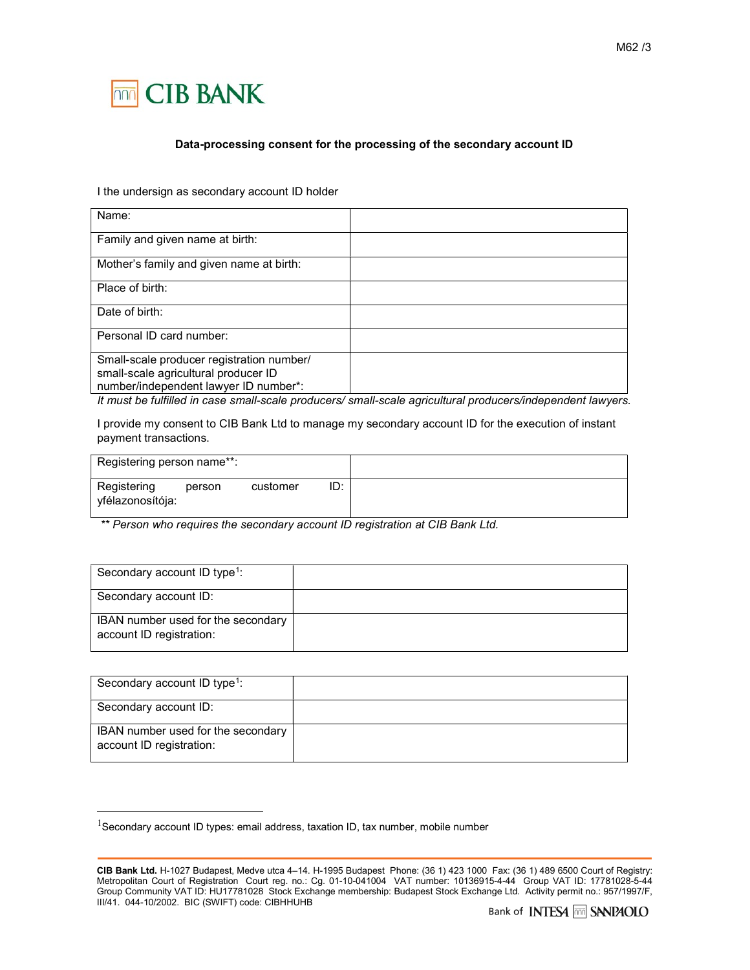

## Data-processing consent for the processing of the secondary account ID

I the undersign as secondary account ID holder

| Name:                                                                                                                      |  |
|----------------------------------------------------------------------------------------------------------------------------|--|
| Family and given name at birth:                                                                                            |  |
| Mother's family and given name at birth:                                                                                   |  |
| Place of birth:                                                                                                            |  |
| Date of birth:                                                                                                             |  |
| Personal ID card number:                                                                                                   |  |
| Small-scale producer registration number/<br>small-scale agricultural producer ID<br>number/independent lawyer ID number*: |  |

It must be fulfilled in case small-scale producers/ small-scale agricultural producers/independent lawyers.

I provide my consent to CIB Bank Ltd to manage my secondary account ID for the execution of instant payment transactions.

| Registering person name**:      |        |          |     |
|---------------------------------|--------|----------|-----|
| Registering<br>yfélazonosítója: | person | customer | ID: |

\*\* Person who requires the secondary account ID registration at CIB Bank Ltd.

| Secondary account ID type <sup>1</sup> :                       |  |
|----------------------------------------------------------------|--|
| Secondary account ID:                                          |  |
| IBAN number used for the secondary<br>account ID registration: |  |

| Secondary account ID type <sup>1</sup> :                       |  |
|----------------------------------------------------------------|--|
| Secondary account ID:                                          |  |
| IBAN number used for the secondary<br>account ID registration: |  |

-

 $1$ Secondary account ID types: email address, taxation ID, tax number, mobile number

CIB Bank Ltd. H-1027 Budapest, Medve utca 4–14. H-1995 Budapest Phone: (36 1) 423 1000 Fax: (36 1) 489 6500 Court of Registry: Metropolitan Court of Registration Court reg. no.: Cg. 01-10-041004 VAT number: 10136915-4-44 Group VAT ID: 17781028-5-44 Group Community VAT ID: HU17781028 Stock Exchange membership: Budapest Stock Exchange Ltd. Activity permit no.: 957/1997/F, III/41. 044-10/2002. BIC (SWIFT) code: CIBHHUHB